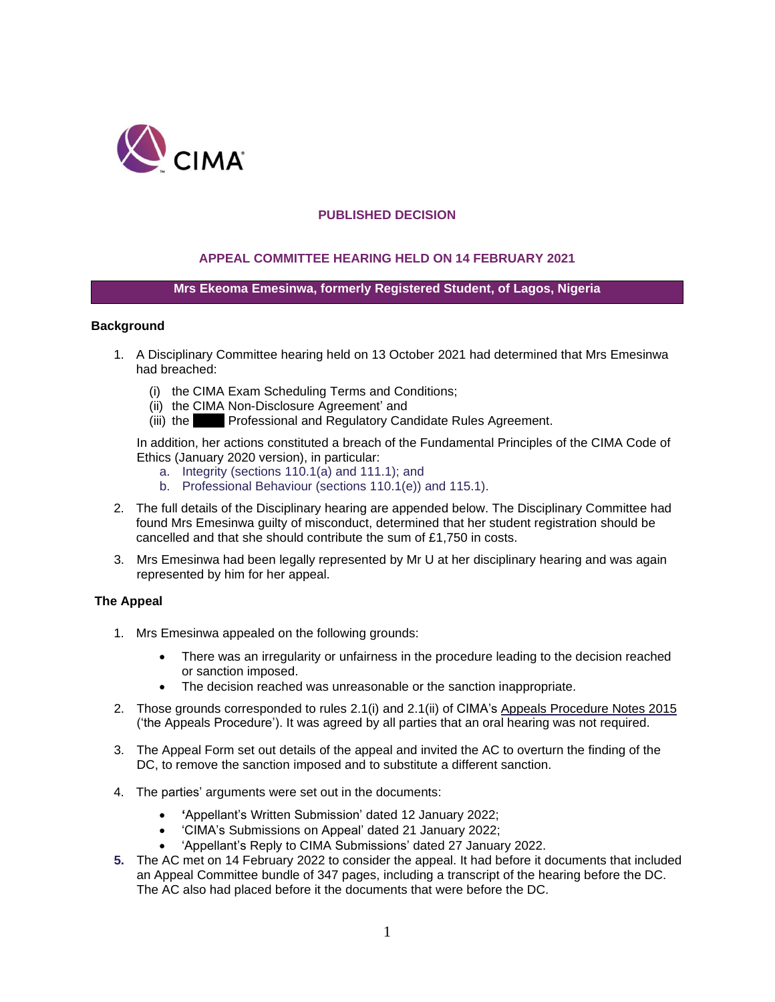

## **PUBLISHED DECISION**

## **APPEAL COMMITTEE HEARING HELD ON 14 FEBRUARY 2021**

### **Mrs Ekeoma Emesinwa, formerly Registered Student, of Lagos, Nigeria**

#### **Background**

- 1. A Disciplinary Committee hearing held on 13 October 2021 had determined that Mrs Emesinwa had breached:
	- (i) the CIMA Exam Scheduling Terms and Conditions;
	- (ii) the CIMA Non-Disclosure Agreement' and
	- (iii) the **Professional and Regulatory Candidate Rules Agreement.**

In addition, her actions constituted a breach of the Fundamental Principles of the CIMA Code of Ethics (January 2020 version), in particular:

- a. Integrity (sections 110.1(a) and 111.1); and
- b. Professional Behaviour (sections 110.1(e)) and 115.1).
- 2. The full details of the Disciplinary hearing are appended below. The Disciplinary Committee had found Mrs Emesinwa guilty of misconduct, determined that her student registration should be cancelled and that she should contribute the sum of £1,750 in costs.
- 3. Mrs Emesinwa had been legally represented by Mr U at her disciplinary hearing and was again represented by him for her appeal.

#### **The Appeal**

- 1. Mrs Emesinwa appealed on the following grounds:
	- There was an irregularity or unfairness in the procedure leading to the decision reached or sanction imposed.
	- The decision reached was unreasonable or the sanction inappropriate.
- 2. Those grounds corresponded to rules 2.1(i) and 2.1(ii) of CIMA's Appeals Procedure Notes 2015 ('the Appeals Procedure'). It was agreed by all parties that an oral hearing was not required.
- 3. The Appeal Form set out details of the appeal and invited the AC to overturn the finding of the DC, to remove the sanction imposed and to substitute a different sanction.
- 4. The parties' arguments were set out in the documents:
	- **'**Appellant's Written Submission' dated 12 January 2022;
	- 'CIMA's Submissions on Appeal' dated 21 January 2022;
	- 'Appellant's Reply to CIMA Submissions' dated 27 January 2022.
- **5.** The AC met on 14 February 2022 to consider the appeal. It had before it documents that included an Appeal Committee bundle of 347 pages, including a transcript of the hearing before the DC. The AC also had placed before it the documents that were before the DC.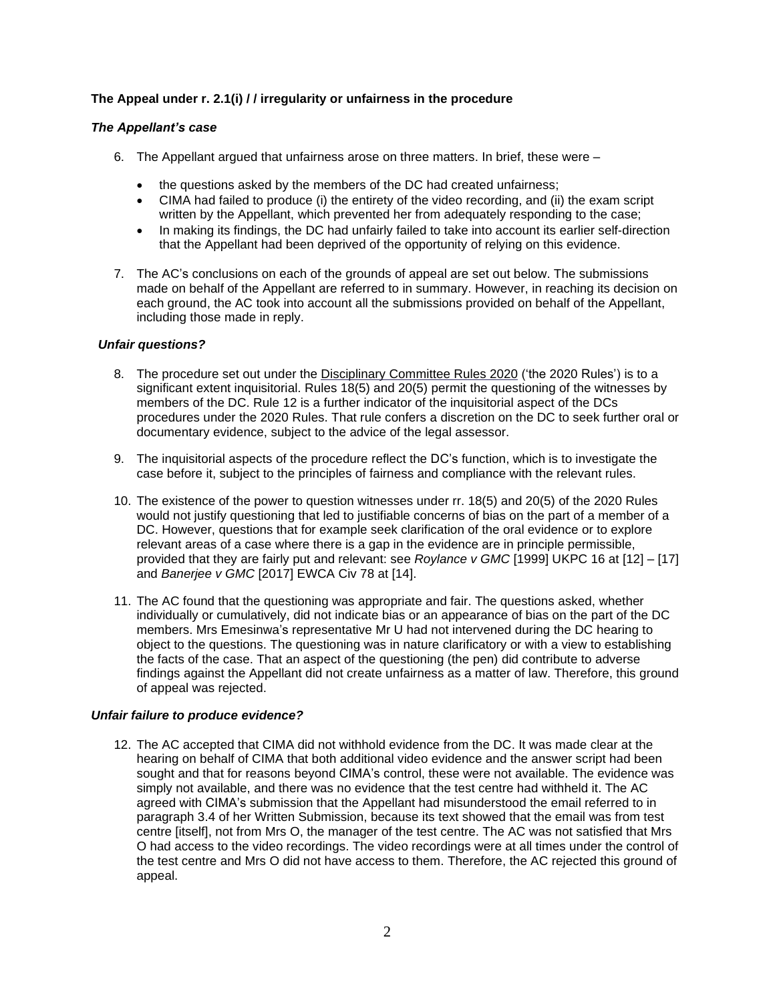# **The Appeal under r. 2.1(i) / / irregularity or unfairness in the procedure**

## *The Appellant's case*

- 6. The Appellant argued that unfairness arose on three matters. In brief, these were
	- the questions asked by the members of the DC had created unfairness;
	- CIMA had failed to produce (i) the entirety of the video recording, and (ii) the exam script written by the Appellant, which prevented her from adequately responding to the case;
	- In making its findings, the DC had unfairly failed to take into account its earlier self-direction that the Appellant had been deprived of the opportunity of relying on this evidence.
- 7. The AC's conclusions on each of the grounds of appeal are set out below. The submissions made on behalf of the Appellant are referred to in summary. However, in reaching its decision on each ground, the AC took into account all the submissions provided on behalf of the Appellant, including those made in reply.

## *Unfair questions?*

- 8. The procedure set out under the Disciplinary Committee Rules 2020 ('the 2020 Rules') is to a significant extent inquisitorial. Rules 18(5) and 20(5) permit the questioning of the witnesses by members of the DC. Rule 12 is a further indicator of the inquisitorial aspect of the DCs procedures under the 2020 Rules. That rule confers a discretion on the DC to seek further oral or documentary evidence, subject to the advice of the legal assessor.
- 9. The inquisitorial aspects of the procedure reflect the DC's function, which is to investigate the case before it, subject to the principles of fairness and compliance with the relevant rules.
- 10. The existence of the power to question witnesses under rr. 18(5) and 20(5) of the 2020 Rules would not justify questioning that led to justifiable concerns of bias on the part of a member of a DC. However, questions that for example seek clarification of the oral evidence or to explore relevant areas of a case where there is a gap in the evidence are in principle permissible, provided that they are fairly put and relevant: see *Roylance v GMC* [1999] UKPC 16 at [12] – [17] and *Banerjee v GMC* [2017] EWCA Civ 78 at [14].
- 11. The AC found that the questioning was appropriate and fair. The questions asked, whether individually or cumulatively, did not indicate bias or an appearance of bias on the part of the DC members. Mrs Emesinwa's representative Mr U had not intervened during the DC hearing to object to the questions. The questioning was in nature clarificatory or with a view to establishing the facts of the case. That an aspect of the questioning (the pen) did contribute to adverse findings against the Appellant did not create unfairness as a matter of law. Therefore, this ground of appeal was rejected.

### *Unfair failure to produce evidence?*

12. The AC accepted that CIMA did not withhold evidence from the DC. It was made clear at the hearing on behalf of CIMA that both additional video evidence and the answer script had been sought and that for reasons beyond CIMA's control, these were not available. The evidence was simply not available, and there was no evidence that the test centre had withheld it. The AC agreed with CIMA's submission that the Appellant had misunderstood the email referred to in paragraph 3.4 of her Written Submission, because its text showed that the email was from test centre [itself], not from Mrs O, the manager of the test centre. The AC was not satisfied that Mrs O had access to the video recordings. The video recordings were at all times under the control of the test centre and Mrs O did not have access to them. Therefore, the AC rejected this ground of appeal.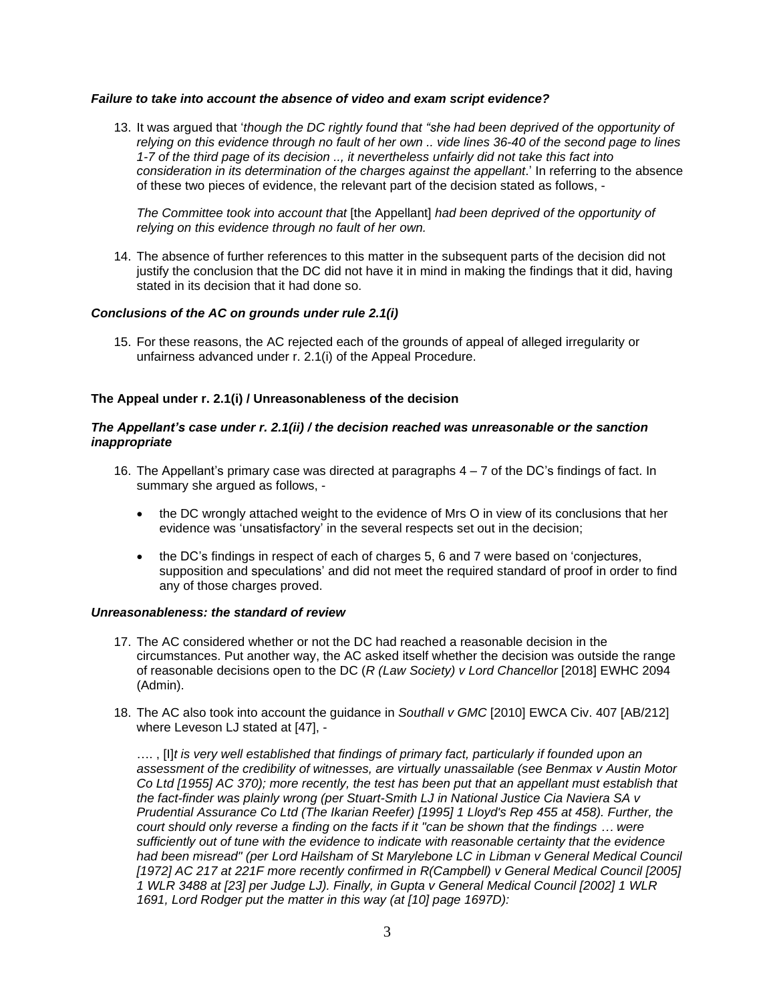### *Failure to take into account the absence of video and exam script evidence?*

13. It was argued that '*though the DC rightly found that "she had been deprived of the opportunity of* relying on this evidence through no fault of her own .. vide lines 36-40 of the second page to lines *1-7 of the third page of its decision .., it nevertheless unfairly did not take this fact into consideration in its determination of the charges against the appellant*.' In referring to the absence of these two pieces of evidence, the relevant part of the decision stated as follows, -

*The Committee took into account that* [the Appellant] *had been deprived of the opportunity of relying on this evidence through no fault of her own.*

14. The absence of further references to this matter in the subsequent parts of the decision did not justify the conclusion that the DC did not have it in mind in making the findings that it did, having stated in its decision that it had done so.

# *Conclusions of the AC on grounds under rule 2.1(i)*

15. For these reasons, the AC rejected each of the grounds of appeal of alleged irregularity or unfairness advanced under r. 2.1(i) of the Appeal Procedure.

### **The Appeal under r. 2.1(i) / Unreasonableness of the decision**

#### *The Appellant's case under r. 2.1(ii) / the decision reached was unreasonable or the sanction inappropriate*

- 16. The Appellant's primary case was directed at paragraphs 4 7 of the DC's findings of fact. In summary she argued as follows, -
	- the DC wrongly attached weight to the evidence of Mrs O in view of its conclusions that her evidence was 'unsatisfactory' in the several respects set out in the decision;
	- the DC's findings in respect of each of charges 5, 6 and 7 were based on 'conjectures, supposition and speculations' and did not meet the required standard of proof in order to find any of those charges proved.

#### *Unreasonableness: the standard of review*

- 17. The AC considered whether or not the DC had reached a reasonable decision in the circumstances. Put another way, the AC asked itself whether the decision was outside the range of reasonable decisions open to the DC (*R (Law Society) v Lord Chancellor* [2018] EWHC 2094 (Admin).
- 18. The AC also took into account the guidance in *Southall v GMC* [2010] EWCA Civ. 407 [AB/212] where Leveson LJ stated at [47], -

…. , [I]*t is very well established that findings of primary fact, particularly if founded upon an assessment of the credibility of witnesses, are virtually unassailable (see Benmax v Austin Motor Co Ltd [1955] AC 370); more recently, the test has been put that an appellant must establish that the fact-finder was plainly wrong (per Stuart-Smith LJ in National Justice Cia Naviera SA v Prudential Assurance Co Ltd (The Ikarian Reefer) [1995] 1 Lloyd's Rep 455 at 458). Further, the* court should only reverse a finding on the facts if it "can be shown that the findings ... were *sufficiently out of tune with the evidence to indicate with reasonable certainty that the evidence had been misread" (per Lord Hailsham of St Marylebone LC in Libman v General Medical Council [1972] AC 217 at 221F more recently confirmed in R(Campbell) v General Medical Council [2005] 1 WLR 3488 at [23] per Judge LJ). Finally, in Gupta v General Medical Council [2002] 1 WLR 1691, Lord Rodger put the matter in this way (at [10] page 1697D):*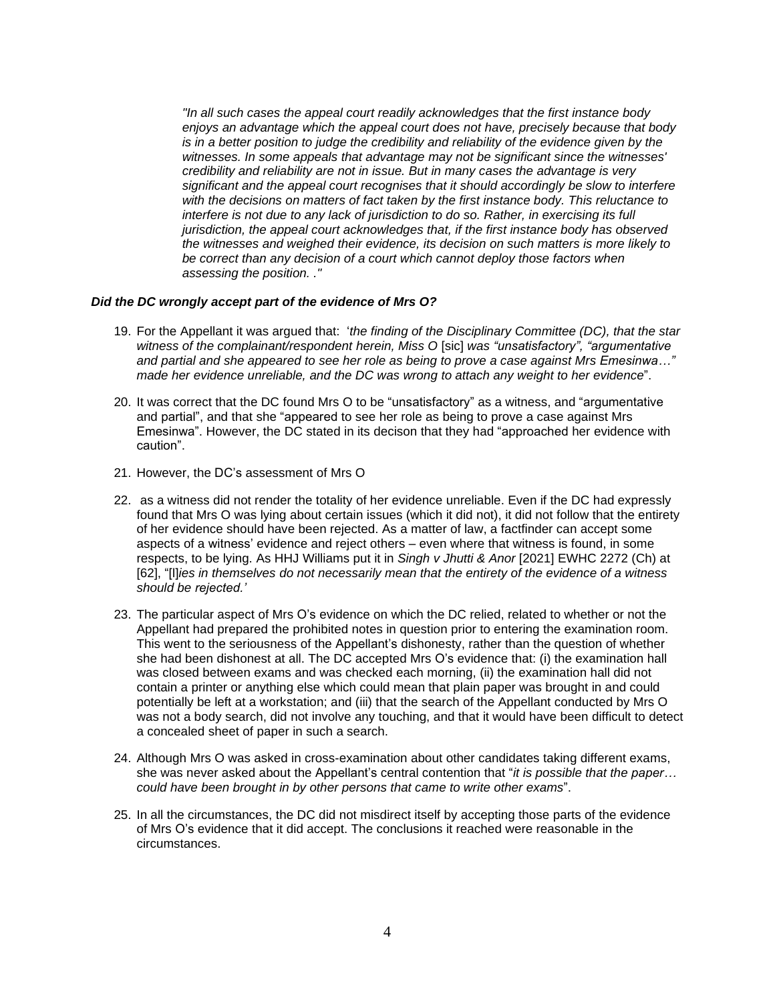*"In all such cases the appeal court readily acknowledges that the first instance body enjoys an advantage which the appeal court does not have, precisely because that body is in a better position to judge the credibility and reliability of the evidence given by the witnesses. In some appeals that advantage may not be significant since the witnesses' credibility and reliability are not in issue. But in many cases the advantage is very significant and the appeal court recognises that it should accordingly be slow to interfere with the decisions on matters of fact taken by the first instance body. This reluctance to interfere is not due to any lack of jurisdiction to do so. Rather, in exercising its full jurisdiction, the appeal court acknowledges that, if the first instance body has observed the witnesses and weighed their evidence, its decision on such matters is more likely to be correct than any decision of a court which cannot deploy those factors when assessing the position. ."*

#### *Did the DC wrongly accept part of the evidence of Mrs O?*

- 19. For the Appellant it was argued that: '*the finding of the Disciplinary Committee (DC), that the star witness of the complainant/respondent herein, Miss O* [sic] *was "unsatisfactory", "argumentative and partial and she appeared to see her role as being to prove a case against Mrs Emesinwa…" made her evidence unreliable, and the DC was wrong to attach any weight to her evidence*".
- 20. It was correct that the DC found Mrs O to be "unsatisfactory" as a witness, and "argumentative and partial", and that she "appeared to see her role as being to prove a case against Mrs Emesinwa". However, the DC stated in its decison that they had "approached her evidence with caution".
- 21. However, the DC's assessment of Mrs O
- 22. as a witness did not render the totality of her evidence unreliable. Even if the DC had expressly found that Mrs O was lying about certain issues (which it did not), it did not follow that the entirety of her evidence should have been rejected. As a matter of law, a factfinder can accept some aspects of a witness' evidence and reject others – even where that witness is found, in some respects, to be lying. As HHJ Williams put it in *Singh v Jhutti & Anor* [2021] EWHC 2272 (Ch) at [62], "[l]*ies in themselves do not necessarily mean that the entirety of the evidence of a witness should be rejected.'*
- 23. The particular aspect of Mrs O's evidence on which the DC relied, related to whether or not the Appellant had prepared the prohibited notes in question prior to entering the examination room. This went to the seriousness of the Appellant's dishonesty, rather than the question of whether she had been dishonest at all. The DC accepted Mrs O's evidence that: (i) the examination hall was closed between exams and was checked each morning, (ii) the examination hall did not contain a printer or anything else which could mean that plain paper was brought in and could potentially be left at a workstation; and (iii) that the search of the Appellant conducted by Mrs O was not a body search, did not involve any touching, and that it would have been difficult to detect a concealed sheet of paper in such a search.
- 24. Although Mrs O was asked in cross-examination about other candidates taking different exams, she was never asked about the Appellant's central contention that "*it is possible that the paper… could have been brought in by other persons that came to write other exams*".
- 25. In all the circumstances, the DC did not misdirect itself by accepting those parts of the evidence of Mrs O's evidence that it did accept. The conclusions it reached were reasonable in the circumstances.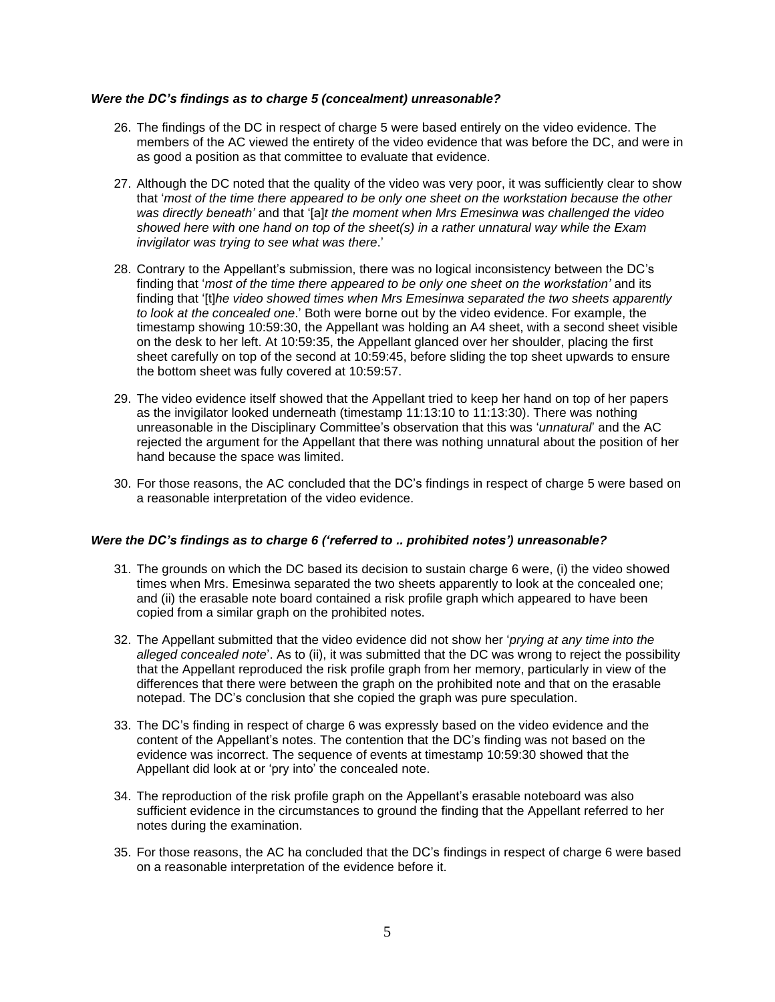### *Were the DC's findings as to charge 5 (concealment) unreasonable?*

- 26. The findings of the DC in respect of charge 5 were based entirely on the video evidence. The members of the AC viewed the entirety of the video evidence that was before the DC, and were in as good a position as that committee to evaluate that evidence.
- 27. Although the DC noted that the quality of the video was very poor, it was sufficiently clear to show that '*most of the time there appeared to be only one sheet on the workstation because the other was directly beneath'* and that '[a]*t the moment when Mrs Emesinwa was challenged the video showed here with one hand on top of the sheet(s) in a rather unnatural way while the Exam invigilator was trying to see what was there*.'
- 28. Contrary to the Appellant's submission, there was no logical inconsistency between the DC's finding that '*most of the time there appeared to be only one sheet on the workstation'* and its finding that '[t]*he video showed times when Mrs Emesinwa separated the two sheets apparently to look at the concealed one*.' Both were borne out by the video evidence. For example, the timestamp showing 10:59:30, the Appellant was holding an A4 sheet, with a second sheet visible on the desk to her left. At 10:59:35, the Appellant glanced over her shoulder, placing the first sheet carefully on top of the second at 10:59:45, before sliding the top sheet upwards to ensure the bottom sheet was fully covered at 10:59:57.
- 29. The video evidence itself showed that the Appellant tried to keep her hand on top of her papers as the invigilator looked underneath (timestamp 11:13:10 to 11:13:30). There was nothing unreasonable in the Disciplinary Committee's observation that this was '*unnatural*' and the AC rejected the argument for the Appellant that there was nothing unnatural about the position of her hand because the space was limited.
- 30. For those reasons, the AC concluded that the DC's findings in respect of charge 5 were based on a reasonable interpretation of the video evidence.

### *Were the DC's findings as to charge 6 ('referred to .. prohibited notes') unreasonable?*

- 31. The grounds on which the DC based its decision to sustain charge 6 were, (i) the video showed times when Mrs. Emesinwa separated the two sheets apparently to look at the concealed one; and (ii) the erasable note board contained a risk profile graph which appeared to have been copied from a similar graph on the prohibited notes.
- 32. The Appellant submitted that the video evidence did not show her '*prying at any time into the alleged concealed note*'. As to (ii), it was submitted that the DC was wrong to reject the possibility that the Appellant reproduced the risk profile graph from her memory, particularly in view of the differences that there were between the graph on the prohibited note and that on the erasable notepad. The DC's conclusion that she copied the graph was pure speculation.
- 33. The DC's finding in respect of charge 6 was expressly based on the video evidence and the content of the Appellant's notes. The contention that the DC's finding was not based on the evidence was incorrect. The sequence of events at timestamp 10:59:30 showed that the Appellant did look at or 'pry into' the concealed note.
- 34. The reproduction of the risk profile graph on the Appellant's erasable noteboard was also sufficient evidence in the circumstances to ground the finding that the Appellant referred to her notes during the examination.
- 35. For those reasons, the AC ha concluded that the DC's findings in respect of charge 6 were based on a reasonable interpretation of the evidence before it.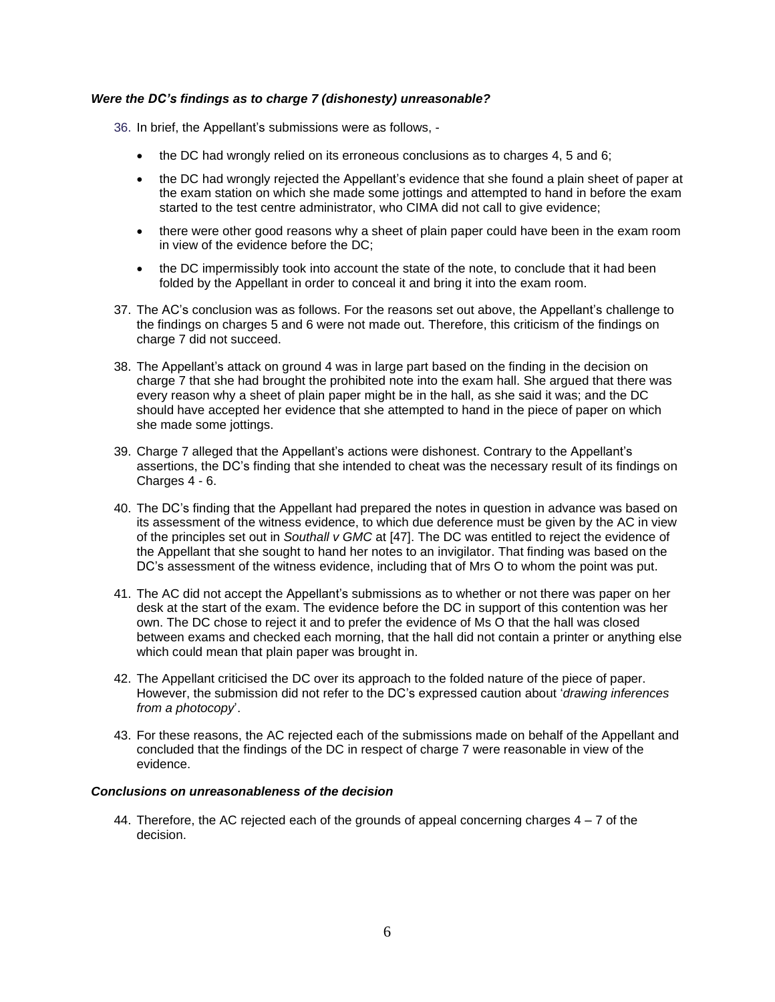## *Were the DC's findings as to charge 7 (dishonesty) unreasonable?*

36. In brief, the Appellant's submissions were as follows, -

- the DC had wrongly relied on its erroneous conclusions as to charges 4, 5 and 6;
- the DC had wrongly rejected the Appellant's evidence that she found a plain sheet of paper at the exam station on which she made some jottings and attempted to hand in before the exam started to the test centre administrator, who CIMA did not call to give evidence;
- there were other good reasons why a sheet of plain paper could have been in the exam room in view of the evidence before the DC;
- the DC impermissibly took into account the state of the note, to conclude that it had been folded by the Appellant in order to conceal it and bring it into the exam room.
- 37. The AC's conclusion was as follows. For the reasons set out above, the Appellant's challenge to the findings on charges 5 and 6 were not made out. Therefore, this criticism of the findings on charge 7 did not succeed.
- 38. The Appellant's attack on ground 4 was in large part based on the finding in the decision on charge 7 that she had brought the prohibited note into the exam hall. She argued that there was every reason why a sheet of plain paper might be in the hall, as she said it was; and the DC should have accepted her evidence that she attempted to hand in the piece of paper on which she made some jottings.
- 39. Charge 7 alleged that the Appellant's actions were dishonest. Contrary to the Appellant's assertions, the DC's finding that she intended to cheat was the necessary result of its findings on Charges 4 - 6.
- 40. The DC's finding that the Appellant had prepared the notes in question in advance was based on its assessment of the witness evidence, to which due deference must be given by the AC in view of the principles set out in *Southall v GMC* at [47]. The DC was entitled to reject the evidence of the Appellant that she sought to hand her notes to an invigilator. That finding was based on the DC's assessment of the witness evidence, including that of Mrs O to whom the point was put.
- 41. The AC did not accept the Appellant's submissions as to whether or not there was paper on her desk at the start of the exam. The evidence before the DC in support of this contention was her own. The DC chose to reject it and to prefer the evidence of Ms O that the hall was closed between exams and checked each morning, that the hall did not contain a printer or anything else which could mean that plain paper was brought in.
- 42. The Appellant criticised the DC over its approach to the folded nature of the piece of paper. However, the submission did not refer to the DC's expressed caution about '*drawing inferences from a photocopy*'.
- 43. For these reasons, the AC rejected each of the submissions made on behalf of the Appellant and concluded that the findings of the DC in respect of charge 7 were reasonable in view of the evidence.

#### *Conclusions on unreasonableness of the decision*

44. Therefore, the AC rejected each of the grounds of appeal concerning charges 4 – 7 of the decision.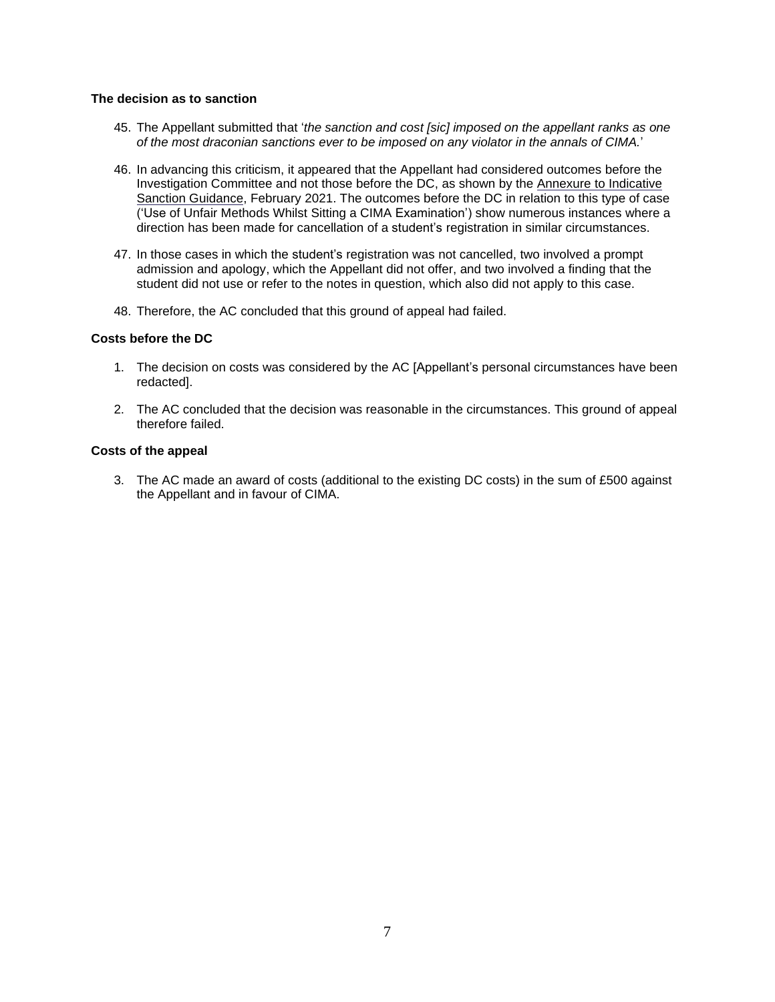### **The decision as to sanction**

- 45. The Appellant submitted that '*the sanction and cost [sic] imposed on the appellant ranks as one of the most draconian sanctions ever to be imposed on any violator in the annals of CIMA.*'
- 46. In advancing this criticism, it appeared that the Appellant had considered outcomes before the Investigation Committee and not those before the DC, as shown by the Annexure to Indicative Sanction Guidance, February 2021. The outcomes before the DC in relation to this type of case ('Use of Unfair Methods Whilst Sitting a CIMA Examination') show numerous instances where a direction has been made for cancellation of a student's registration in similar circumstances.
- 47. In those cases in which the student's registration was not cancelled, two involved a prompt admission and apology, which the Appellant did not offer, and two involved a finding that the student did not use or refer to the notes in question, which also did not apply to this case.
- 48. Therefore, the AC concluded that this ground of appeal had failed.

### **Costs before the DC**

- 1. The decision on costs was considered by the AC [Appellant's personal circumstances have been redacted].
- 2. The AC concluded that the decision was reasonable in the circumstances. This ground of appeal therefore failed.

### **Costs of the appeal**

3. The AC made an award of costs (additional to the existing DC costs) in the sum of £500 against the Appellant and in favour of CIMA.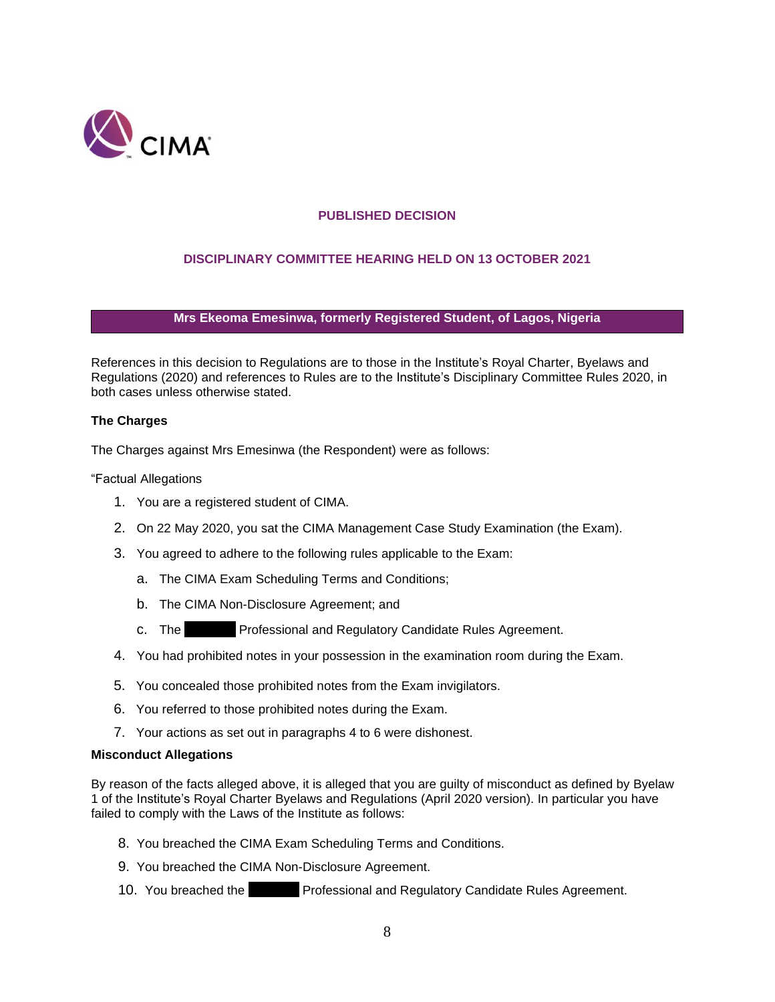

# **PUBLISHED DECISION**

# **DISCIPLINARY COMMITTEE HEARING HELD ON 13 OCTOBER 2021**

## **Mrs Ekeoma Emesinwa, formerly Registered Student, of Lagos, Nigeria**

References in this decision to Regulations are to those in the Institute's Royal Charter, Byelaws and Regulations (2020) and references to Rules are to the Institute's Disciplinary Committee Rules 2020, in both cases unless otherwise stated.

### **The Charges**

The Charges against Mrs Emesinwa (the Respondent) were as follows:

"Factual Allegations

- 1. You are a registered student of CIMA.
- 2. On 22 May 2020, you sat the CIMA Management Case Study Examination (the Exam).
- 3. You agreed to adhere to the following rules applicable to the Exam:
	- a. The CIMA Exam Scheduling Terms and Conditions;
	- b. The CIMA Non-Disclosure Agreement; and
	- c. The **Professional and Regulatory Candidate Rules Agreement.**
- 4. You had prohibited notes in your possession in the examination room during the Exam.
- 5. You concealed those prohibited notes from the Exam invigilators.
- 6. You referred to those prohibited notes during the Exam.
- 7. Your actions as set out in paragraphs 4 to 6 were dishonest.

### **Misconduct Allegations**

By reason of the facts alleged above, it is alleged that you are guilty of misconduct as defined by Byelaw 1 of the Institute's Royal Charter Byelaws and Regulations (April 2020 version). In particular you have failed to comply with the Laws of the Institute as follows:

- 8. You breached the CIMA Exam Scheduling Terms and Conditions.
- 9. You breached the CIMA Non-Disclosure Agreement.
- 10. You breached the **F**rofessional and Regulatory Candidate Rules Agreement.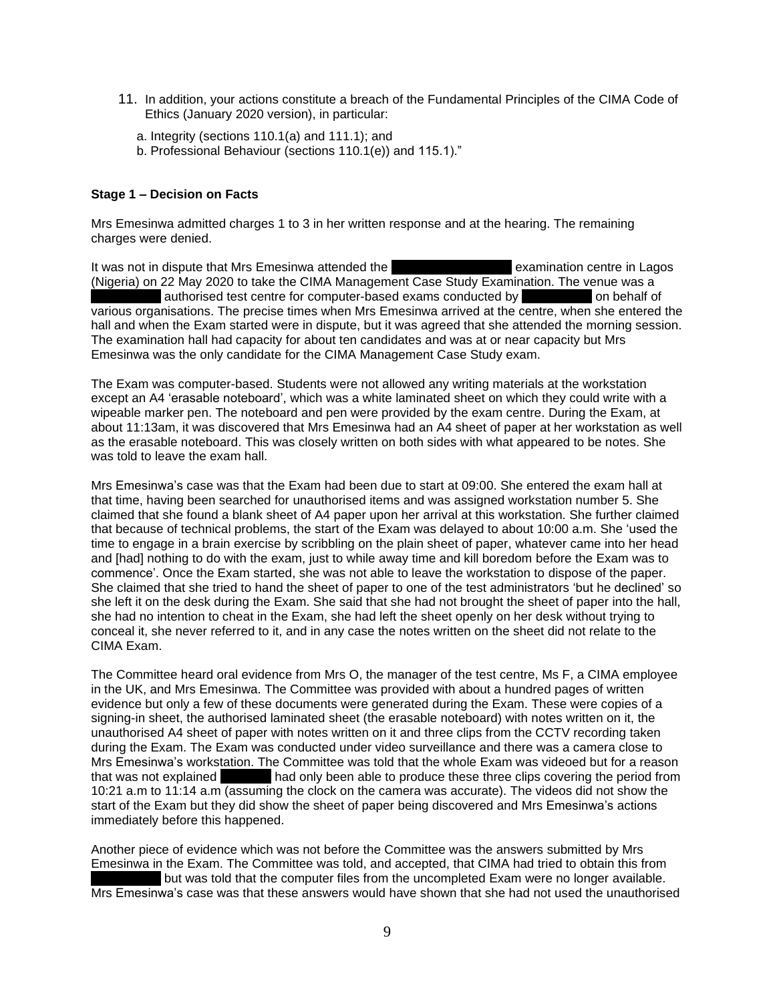- 11. In addition, your actions constitute a breach of the Fundamental Principles of the CIMA Code of Ethics (January 2020 version), in particular:
	- a. Integrity (sections 110.1(a) and 111.1); and
	- b. Professional Behaviour (sections 110.1(e)) and 115.1)."

#### **Stage 1 – Decision on Facts**

Mrs Emesinwa admitted charges 1 to 3 in her written response and at the hearing. The remaining charges were denied.

It was not in dispute that Mrs Emesinwa attended the xxxxxxxx examination centre in Lagos (Nigeria) on 22 May 2020 to take the CIMA Management Case Study Examination. The venue was a authorised test centre for computer-based exams conducted by on behalf of various organisations. The precise times when Mrs Emesinwa arrived at the centre, when she entered the hall and when the Exam started were in dispute, but it was agreed that she attended the morning session. The examination hall had capacity for about ten candidates and was at or near capacity but Mrs Emesinwa was the only candidate for the CIMA Management Case Study exam.

The Exam was computer-based. Students were not allowed any writing materials at the workstation except an A4 'erasable noteboard', which was a white laminated sheet on which they could write with a wipeable marker pen. The noteboard and pen were provided by the exam centre. During the Exam, at about 11:13am, it was discovered that Mrs Emesinwa had an A4 sheet of paper at her workstation as well as the erasable noteboard. This was closely written on both sides with what appeared to be notes. She was told to leave the exam hall.

Mrs Emesinwa's case was that the Exam had been due to start at 09:00. She entered the exam hall at that time, having been searched for unauthorised items and was assigned workstation number 5. She claimed that she found a blank sheet of A4 paper upon her arrival at this workstation. She further claimed that because of technical problems, the start of the Exam was delayed to about 10:00 a.m. She 'used the time to engage in a brain exercise by scribbling on the plain sheet of paper, whatever came into her head and [had] nothing to do with the exam, just to while away time and kill boredom before the Exam was to commence'. Once the Exam started, she was not able to leave the workstation to dispose of the paper. She claimed that she tried to hand the sheet of paper to one of the test administrators 'but he declined' so she left it on the desk during the Exam. She said that she had not brought the sheet of paper into the hall, she had no intention to cheat in the Exam, she had left the sheet openly on her desk without trying to conceal it, she never referred to it, and in any case the notes written on the sheet did not relate to the CIMA Exam.

The Committee heard oral evidence from Mrs O, the manager of the test centre, Ms F, a CIMA employee in the UK, and Mrs Emesinwa. The Committee was provided with about a hundred pages of written evidence but only a few of these documents were generated during the Exam. These were copies of a signing-in sheet, the authorised laminated sheet (the erasable noteboard) with notes written on it, the unauthorised A4 sheet of paper with notes written on it and three clips from the CCTV recording taken during the Exam. The Exam was conducted under video surveillance and there was a camera close to Mrs Emesinwa's workstation. The Committee was told that the whole Exam was videoed but for a reason that was not explained karry had only been able to produce these three clips covering the period from 10:21 a.m to 11:14 a.m (assuming the clock on the camera was accurate). The videos did not show the start of the Exam but they did show the sheet of paper being discovered and Mrs Emesinwa's actions immediately before this happened.

Another piece of evidence which was not before the Committee was the answers submitted by Mrs Emesinwa in the Exam. The Committee was told, and accepted, that CIMA had tried to obtain this from but was told that the computer files from the uncompleted Exam were no longer available. Mrs Emesinwa's case was that these answers would have shown that she had not used the unauthorised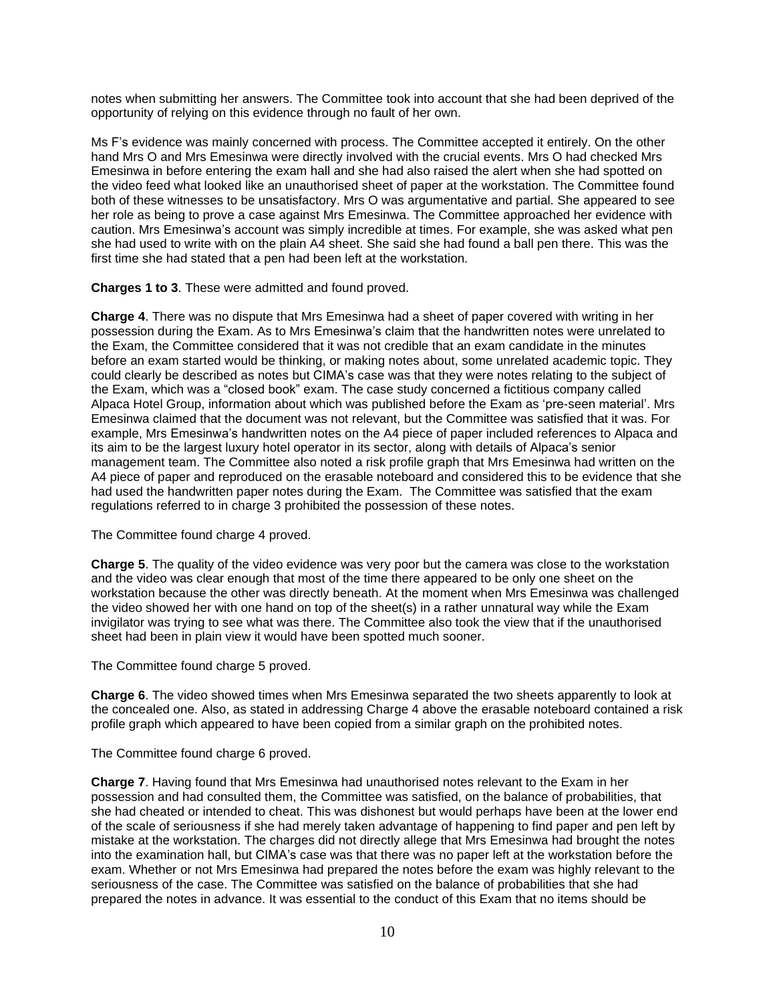notes when submitting her answers. The Committee took into account that she had been deprived of the opportunity of relying on this evidence through no fault of her own.

Ms F's evidence was mainly concerned with process. The Committee accepted it entirely. On the other hand Mrs O and Mrs Emesinwa were directly involved with the crucial events. Mrs O had checked Mrs Emesinwa in before entering the exam hall and she had also raised the alert when she had spotted on the video feed what looked like an unauthorised sheet of paper at the workstation. The Committee found both of these witnesses to be unsatisfactory. Mrs O was argumentative and partial. She appeared to see her role as being to prove a case against Mrs Emesinwa. The Committee approached her evidence with caution. Mrs Emesinwa's account was simply incredible at times. For example, she was asked what pen she had used to write with on the plain A4 sheet. She said she had found a ball pen there. This was the first time she had stated that a pen had been left at the workstation.

**Charges 1 to 3**. These were admitted and found proved.

**Charge 4**. There was no dispute that Mrs Emesinwa had a sheet of paper covered with writing in her possession during the Exam. As to Mrs Emesinwa's claim that the handwritten notes were unrelated to the Exam, the Committee considered that it was not credible that an exam candidate in the minutes before an exam started would be thinking, or making notes about, some unrelated academic topic. They could clearly be described as notes but CIMA's case was that they were notes relating to the subject of the Exam, which was a "closed book" exam. The case study concerned a fictitious company called Alpaca Hotel Group, information about which was published before the Exam as 'pre-seen material'. Mrs Emesinwa claimed that the document was not relevant, but the Committee was satisfied that it was. For example, Mrs Emesinwa's handwritten notes on the A4 piece of paper included references to Alpaca and its aim to be the largest luxury hotel operator in its sector, along with details of Alpaca's senior management team. The Committee also noted a risk profile graph that Mrs Emesinwa had written on the A4 piece of paper and reproduced on the erasable noteboard and considered this to be evidence that she had used the handwritten paper notes during the Exam. The Committee was satisfied that the exam regulations referred to in charge 3 prohibited the possession of these notes.

The Committee found charge 4 proved.

**Charge 5**. The quality of the video evidence was very poor but the camera was close to the workstation and the video was clear enough that most of the time there appeared to be only one sheet on the workstation because the other was directly beneath. At the moment when Mrs Emesinwa was challenged the video showed her with one hand on top of the sheet(s) in a rather unnatural way while the Exam invigilator was trying to see what was there. The Committee also took the view that if the unauthorised sheet had been in plain view it would have been spotted much sooner.

The Committee found charge 5 proved.

**Charge 6**. The video showed times when Mrs Emesinwa separated the two sheets apparently to look at the concealed one. Also, as stated in addressing Charge 4 above the erasable noteboard contained a risk profile graph which appeared to have been copied from a similar graph on the prohibited notes.

The Committee found charge 6 proved.

**Charge 7**. Having found that Mrs Emesinwa had unauthorised notes relevant to the Exam in her possession and had consulted them, the Committee was satisfied, on the balance of probabilities, that she had cheated or intended to cheat. This was dishonest but would perhaps have been at the lower end of the scale of seriousness if she had merely taken advantage of happening to find paper and pen left by mistake at the workstation. The charges did not directly allege that Mrs Emesinwa had brought the notes into the examination hall, but CIMA's case was that there was no paper left at the workstation before the exam. Whether or not Mrs Emesinwa had prepared the notes before the exam was highly relevant to the seriousness of the case. The Committee was satisfied on the balance of probabilities that she had prepared the notes in advance. It was essential to the conduct of this Exam that no items should be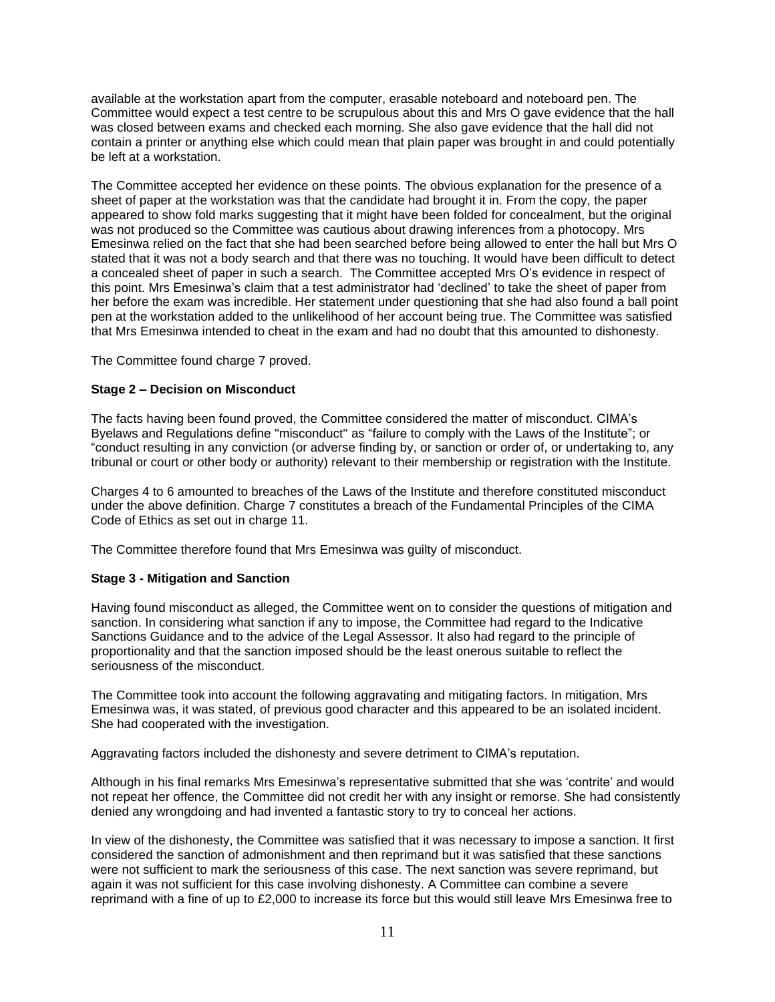available at the workstation apart from the computer, erasable noteboard and noteboard pen. The Committee would expect a test centre to be scrupulous about this and Mrs O gave evidence that the hall was closed between exams and checked each morning. She also gave evidence that the hall did not contain a printer or anything else which could mean that plain paper was brought in and could potentially be left at a workstation.

The Committee accepted her evidence on these points. The obvious explanation for the presence of a sheet of paper at the workstation was that the candidate had brought it in. From the copy, the paper appeared to show fold marks suggesting that it might have been folded for concealment, but the original was not produced so the Committee was cautious about drawing inferences from a photocopy. Mrs Emesinwa relied on the fact that she had been searched before being allowed to enter the hall but Mrs O stated that it was not a body search and that there was no touching. It would have been difficult to detect a concealed sheet of paper in such a search. The Committee accepted Mrs O's evidence in respect of this point. Mrs Emesinwa's claim that a test administrator had 'declined' to take the sheet of paper from her before the exam was incredible. Her statement under questioning that she had also found a ball point pen at the workstation added to the unlikelihood of her account being true. The Committee was satisfied that Mrs Emesinwa intended to cheat in the exam and had no doubt that this amounted to dishonesty.

The Committee found charge 7 proved.

# **Stage 2 – Decision on Misconduct**

The facts having been found proved, the Committee considered the matter of misconduct. CIMA's Byelaws and Regulations define "misconduct'' as "failure to comply with the Laws of the Institute"; or "conduct resulting in any conviction (or adverse finding by, or sanction or order of, or undertaking to, any tribunal or court or other body or authority) relevant to their membership or registration with the Institute.

Charges 4 to 6 amounted to breaches of the Laws of the Institute and therefore constituted misconduct under the above definition. Charge 7 constitutes a breach of the Fundamental Principles of the CIMA Code of Ethics as set out in charge 11.

The Committee therefore found that Mrs Emesinwa was guilty of misconduct.

# **Stage 3 - Mitigation and Sanction**

Having found misconduct as alleged, the Committee went on to consider the questions of mitigation and sanction. In considering what sanction if any to impose, the Committee had regard to the Indicative Sanctions Guidance and to the advice of the Legal Assessor. It also had regard to the principle of proportionality and that the sanction imposed should be the least onerous suitable to reflect the seriousness of the misconduct.

The Committee took into account the following aggravating and mitigating factors. In mitigation, Mrs Emesinwa was, it was stated, of previous good character and this appeared to be an isolated incident. She had cooperated with the investigation.

Aggravating factors included the dishonesty and severe detriment to CIMA's reputation.

Although in his final remarks Mrs Emesinwa's representative submitted that she was 'contrite' and would not repeat her offence, the Committee did not credit her with any insight or remorse. She had consistently denied any wrongdoing and had invented a fantastic story to try to conceal her actions.

In view of the dishonesty, the Committee was satisfied that it was necessary to impose a sanction. It first considered the sanction of admonishment and then reprimand but it was satisfied that these sanctions were not sufficient to mark the seriousness of this case. The next sanction was severe reprimand, but again it was not sufficient for this case involving dishonesty. A Committee can combine a severe reprimand with a fine of up to £2,000 to increase its force but this would still leave Mrs Emesinwa free to